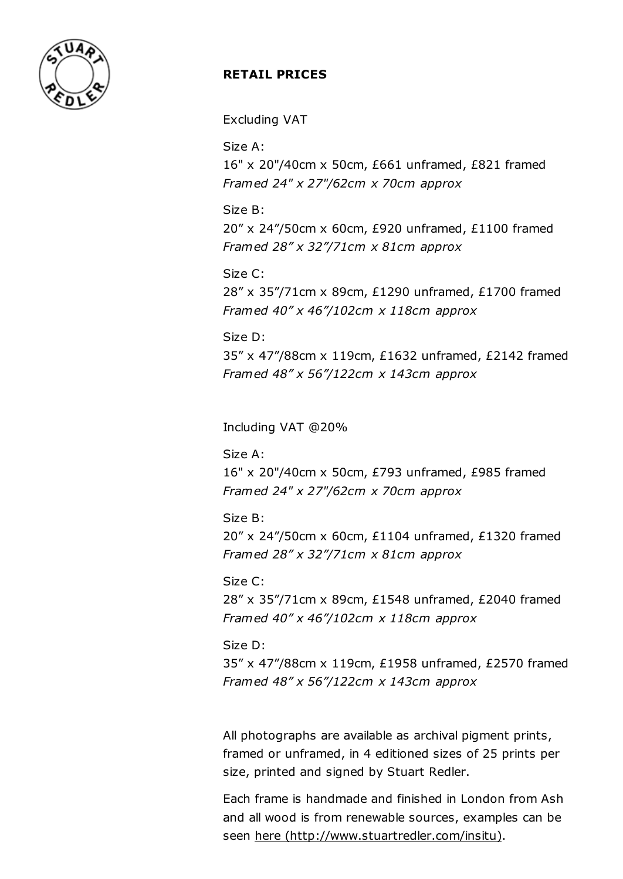

## RETAIL PRICES

Excluding VAT

Size A:

16" x 20"/40cm x 50cm, £661 unframed, £821 framed Framed 24" x 27"/62cm x 70cm approx

Size B: 20" x 24"/50cm x 60cm, £920 unframed, £1100 framed Framed 28" x 32"/71cm x 81cm approx

Size C: 28" x 35"/71cm x 89cm, £1290 unframed, £1700 framed Framed  $40''$  x  $46''$ /102cm x 118cm approx

Size D: 35" x 47"/88cm x 119cm, £1632 unframed, £2142 framed Framed  $48''$  x 56"/122cm x 143cm approx

Including VAT @20%

Size A: 16" x 20"/40cm x 50cm, £793 unframed, £985 framed Framed 24" x 27"/62cm x 70cm approx

Size B: 20" x 24"/50cm x 60cm, £1104 unframed, £1320 framed Framed 28" x 32"/71cm x 81cm approx

Size C: 28" x 35"/71cm x 89cm, £1548 unframed, £2040 framed Framed  $40''$  x  $46''/102$ cm x 118cm approx

Size D: 35" x 47"/88cm x 119cm, £1958 unframed, £2570 framed Framed  $48''$  x 56"/122cm x 143cm approx

All photographs are available as archival pigment prints, framed or unframed, in 4 editioned sizes of 25 prints per size, printed and signed by Stuart Redler.

Each frame is handmade and finished in London from Ash and all wood is from renewable sources, examples can be seen here [\(http://www.stuartredler.com/insitu\).](http://www.stuartredler.com/insitu)